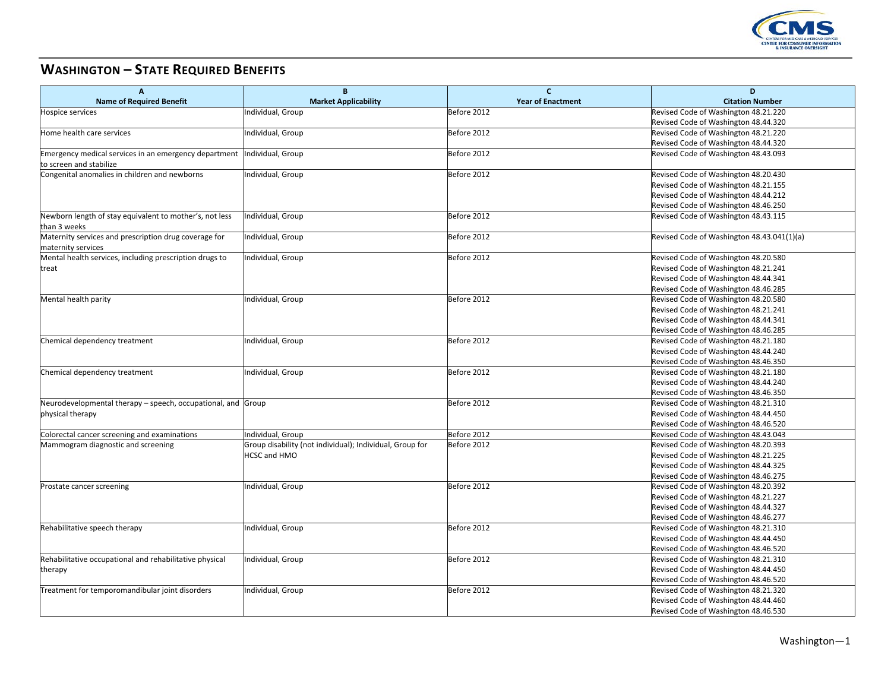

## **WASHINGTON – STATE REQUIRED BENEFITS**

| Α                                                            | В                                                        | $\mathbf{C}$             | D                                          |
|--------------------------------------------------------------|----------------------------------------------------------|--------------------------|--------------------------------------------|
| <b>Name of Required Benefit</b>                              | <b>Market Applicability</b>                              | <b>Year of Enactment</b> | <b>Citation Number</b>                     |
| <b>Hospice services</b>                                      | Individual, Group                                        | Before 2012              | Revised Code of Washington 48.21.220       |
|                                                              |                                                          |                          | Revised Code of Washington 48.44.320       |
| Home health care services                                    | Individual, Group                                        | Before 2012              | Revised Code of Washington 48.21.220       |
|                                                              |                                                          |                          | Revised Code of Washington 48.44.320       |
| Emergency medical services in an emergency department        | Individual, Group                                        | Before 2012              | Revised Code of Washington 48.43.093       |
| to screen and stabilize                                      |                                                          |                          |                                            |
| Congenital anomalies in children and newborns                | Individual, Group                                        | Before 2012              | Revised Code of Washington 48.20.430       |
|                                                              |                                                          |                          | Revised Code of Washington 48.21.155       |
|                                                              |                                                          |                          | Revised Code of Washington 48.44.212       |
|                                                              |                                                          |                          | Revised Code of Washington 48.46.250       |
| Newborn length of stay equivalent to mother's, not less      | Individual, Group                                        | Before 2012              | Revised Code of Washington 48.43.115       |
| than 3 weeks                                                 |                                                          |                          |                                            |
| Maternity services and prescription drug coverage for        | Individual, Group                                        | Before 2012              | Revised Code of Washington 48.43.041(1)(a) |
| maternity services                                           |                                                          |                          |                                            |
| Mental health services, including prescription drugs to      | Individual, Group                                        | Before 2012              | Revised Code of Washington 48.20.580       |
| treat                                                        |                                                          |                          | Revised Code of Washington 48.21.241       |
|                                                              |                                                          |                          | Revised Code of Washington 48.44.341       |
|                                                              |                                                          |                          | Revised Code of Washington 48.46.285       |
| Mental health parity                                         | Individual, Group                                        | Before 2012              | Revised Code of Washington 48.20.580       |
|                                                              |                                                          |                          | Revised Code of Washington 48.21.241       |
|                                                              |                                                          |                          | Revised Code of Washington 48.44.341       |
|                                                              |                                                          |                          | Revised Code of Washington 48.46.285       |
| Chemical dependency treatment                                | ndividual, Group                                         | Before 2012              | Revised Code of Washington 48.21.180       |
|                                                              |                                                          |                          | Revised Code of Washington 48.44.240       |
|                                                              |                                                          |                          | Revised Code of Washington 48.46.350       |
| Chemical dependency treatment                                | ndividual, Group                                         | Before 2012              | Revised Code of Washington 48.21.180       |
|                                                              |                                                          |                          | Revised Code of Washington 48.44.240       |
|                                                              |                                                          |                          | Revised Code of Washington 48.46.350       |
| Neurodevelopmental therapy – speech, occupational, and Group |                                                          | Before 2012              | Revised Code of Washington 48.21.310       |
| physical therapy                                             |                                                          |                          | Revised Code of Washington 48.44.450       |
|                                                              |                                                          |                          | Revised Code of Washington 48.46.520       |
| Colorectal cancer screening and examinations                 | Individual, Group                                        | Before 2012              | Revised Code of Washington 48.43.043       |
| Mammogram diagnostic and screening                           | Group disability (not individual); Individual, Group for | Before 2012              | Revised Code of Washington 48.20.393       |
|                                                              | <b>HCSC and HMO</b>                                      |                          | Revised Code of Washington 48.21.225       |
|                                                              |                                                          |                          | Revised Code of Washington 48.44.325       |
|                                                              |                                                          |                          | Revised Code of Washington 48.46.275       |
| Prostate cancer screening                                    | Individual, Group                                        | Before 2012              | Revised Code of Washington 48.20.392       |
|                                                              |                                                          |                          | Revised Code of Washington 48.21.227       |
|                                                              |                                                          |                          | Revised Code of Washington 48.44.327       |
|                                                              |                                                          |                          | Revised Code of Washington 48.46.277       |
| Rehabilitative speech therapy                                | Individual, Group                                        | Before 2012              | Revised Code of Washington 48.21.310       |
|                                                              |                                                          |                          | Revised Code of Washington 48.44.450       |
|                                                              |                                                          |                          | Revised Code of Washington 48.46.520       |
| Rehabilitative occupational and rehabilitative physical      | Individual, Group                                        | Before 2012              | Revised Code of Washington 48.21.310       |
| therapy                                                      |                                                          |                          | Revised Code of Washington 48.44.450       |
|                                                              |                                                          |                          | Revised Code of Washington 48.46.520       |
| Treatment for temporomandibular joint disorders              | Individual, Group                                        | Before 2012              | Revised Code of Washington 48.21.320       |
|                                                              |                                                          |                          | Revised Code of Washington 48.44.460       |
|                                                              |                                                          |                          | Revised Code of Washington 48.46.530       |
|                                                              |                                                          |                          |                                            |